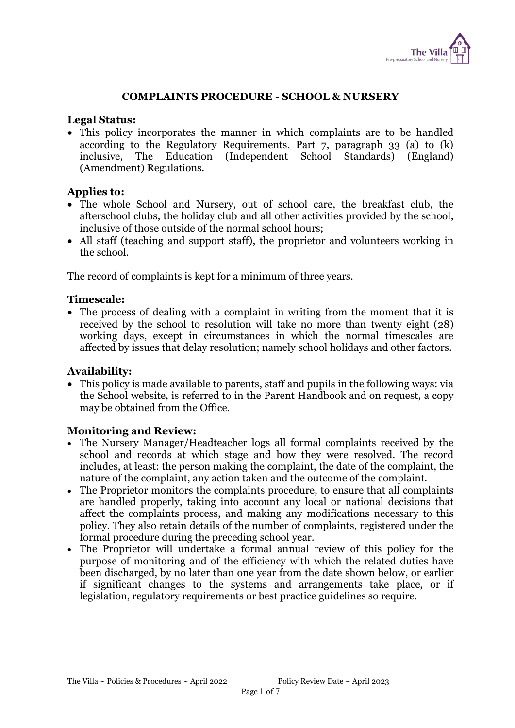

## COMPLAINTS PROCEDURE - SCHOOL & NURSERY

#### Legal Status:

 This policy incorporates the manner in which complaints are to be handled according to the Regulatory Requirements, Part 7, paragraph 33 (a) to (k) inclusive, The Education (Independent School Standards) (England) (Amendment) Regulations.

#### Applies to:

- The whole School and Nursery, out of school care, the breakfast club, the afterschool clubs, the holiday club and all other activities provided by the school, inclusive of those outside of the normal school hours;
- All staff (teaching and support staff), the proprietor and volunteers working in the school.

The record of complaints is kept for a minimum of three years.

#### Timescale:

 The process of dealing with a complaint in writing from the moment that it is received by the school to resolution will take no more than twenty eight (28) working days, except in circumstances in which the normal timescales are affected by issues that delay resolution; namely school holidays and other factors.

#### Availability:

 This policy is made available to parents, staff and pupils in the following ways: via the School website, is referred to in the Parent Handbook and on request, a copy may be obtained from the Office.

#### Monitoring and Review:

- The Nursery Manager/Headteacher logs all formal complaints received by the school and records at which stage and how they were resolved. The record includes, at least: the person making the complaint, the date of the complaint, the nature of the complaint, any action taken and the outcome of the complaint.
- The Proprietor monitors the complaints procedure, to ensure that all complaints are handled properly, taking into account any local or national decisions that affect the complaints process, and making any modifications necessary to this policy. They also retain details of the number of complaints, registered under the formal procedure during the preceding school year.
- The Proprietor will undertake a formal annual review of this policy for the purpose of monitoring and of the efficiency with which the related duties have been discharged, by no later than one year from the date shown below, or earlier if significant changes to the systems and arrangements take place, or if legislation, regulatory requirements or best practice guidelines so require.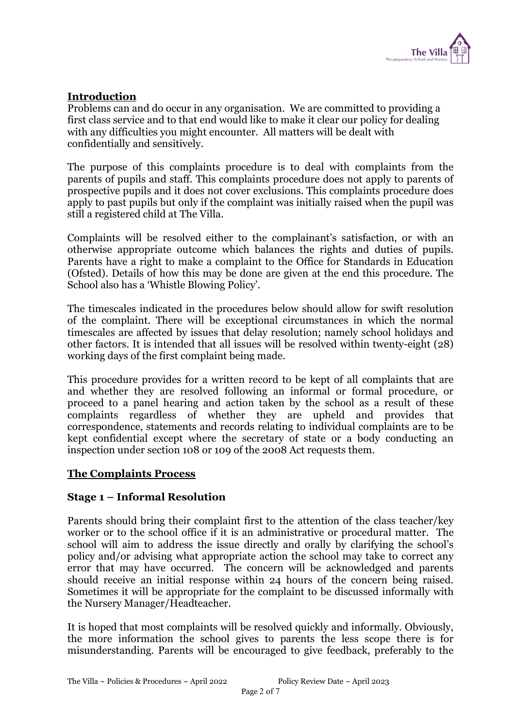

# Introduction

Problems can and do occur in any organisation. We are committed to providing a first class service and to that end would like to make it clear our policy for dealing with any difficulties you might encounter. All matters will be dealt with confidentially and sensitively.

The purpose of this complaints procedure is to deal with complaints from the parents of pupils and staff. This complaints procedure does not apply to parents of prospective pupils and it does not cover exclusions. This complaints procedure does apply to past pupils but only if the complaint was initially raised when the pupil was still a registered child at The Villa.

Complaints will be resolved either to the complainant's satisfaction, or with an otherwise appropriate outcome which balances the rights and duties of pupils. Parents have a right to make a complaint to the Office for Standards in Education (Ofsted). Details of how this may be done are given at the end this procedure. The School also has a 'Whistle Blowing Policy'.

The timescales indicated in the procedures below should allow for swift resolution of the complaint. There will be exceptional circumstances in which the normal timescales are affected by issues that delay resolution; namely school holidays and other factors. It is intended that all issues will be resolved within twenty-eight (28) working days of the first complaint being made.

This procedure provides for a written record to be kept of all complaints that are and whether they are resolved following an informal or formal procedure, or proceed to a panel hearing and action taken by the school as a result of these complaints regardless of whether they are upheld and provides that correspondence, statements and records relating to individual complaints are to be kept confidential except where the secretary of state or a body conducting an inspection under section 108 or 109 of the 2008 Act requests them.

#### The Complaints Process

#### Stage 1 – Informal Resolution

Parents should bring their complaint first to the attention of the class teacher/key worker or to the school office if it is an administrative or procedural matter. The school will aim to address the issue directly and orally by clarifying the school's policy and/or advising what appropriate action the school may take to correct any error that may have occurred. The concern will be acknowledged and parents should receive an initial response within 24 hours of the concern being raised. Sometimes it will be appropriate for the complaint to be discussed informally with the Nursery Manager/Headteacher.

It is hoped that most complaints will be resolved quickly and informally. Obviously, the more information the school gives to parents the less scope there is for misunderstanding. Parents will be encouraged to give feedback, preferably to the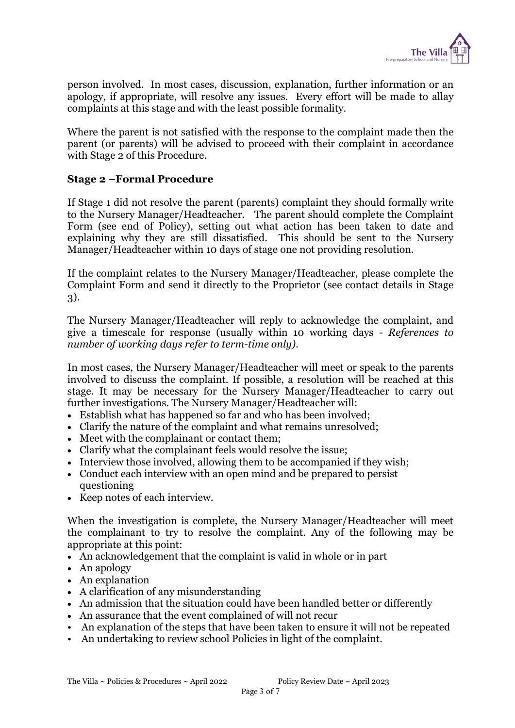

person involved. In most cases, discussion, explanation, further information or an apology, if appropriate, will resolve any issues. Every effort will be made to allay complaints at this stage and with the least possible formality.

Where the parent is not satisfied with the response to the complaint made then the parent (or parents) will be advised to proceed with their complaint in accordance with Stage 2 of this Procedure.

#### Stage 2 –Formal Procedure

If Stage 1 did not resolve the parent (parents) complaint they should formally write to the Nursery Manager/Headteacher. The parent should complete the Complaint Form (see end of Policy), setting out what action has been taken to date and explaining why they are still dissatisfied. This should be sent to the Nursery Manager/Headteacher within 10 days of stage one not providing resolution.

If the complaint relates to the Nursery Manager/Headteacher, please complete the Complaint Form and send it directly to the Proprietor (see contact details in Stage 3).

The Nursery Manager/Headteacher will reply to acknowledge the complaint, and give a timescale for response (usually within 10 working days - References to number of working days refer to term-time only).

In most cases, the Nursery Manager/Headteacher will meet or speak to the parents involved to discuss the complaint. If possible, a resolution will be reached at this stage. It may be necessary for the Nursery Manager/Headteacher to carry out further investigations. The Nursery Manager/Headteacher will:

- Establish what has happened so far and who has been involved;
- Clarify the nature of the complaint and what remains unresolved;
- Meet with the complainant or contact them;
- Clarify what the complainant feels would resolve the issue;
- Interview those involved, allowing them to be accompanied if they wish;
- Conduct each interview with an open mind and be prepared to persist questioning
- Keep notes of each interview.

When the investigation is complete, the Nursery Manager/Headteacher will meet the complainant to try to resolve the complaint. Any of the following may be appropriate at this point:

- An acknowledgement that the complaint is valid in whole or in part
- An apology
- An explanation
- A clarification of any misunderstanding
- An admission that the situation could have been handled better or differently
- An assurance that the event complained of will not recur
- An explanation of the steps that have been taken to ensure it will not be repeated
- An undertaking to review school Policies in light of the complaint.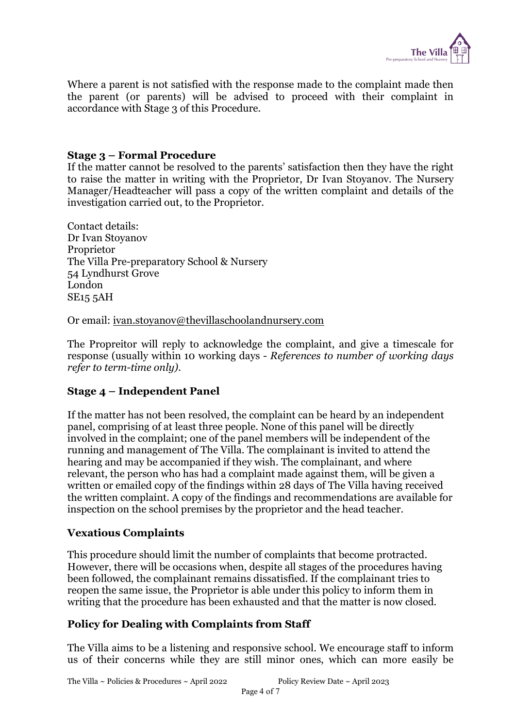

Where a parent is not satisfied with the response made to the complaint made then the parent (or parents) will be advised to proceed with their complaint in accordance with Stage 3 of this Procedure.

#### Stage 3 – Formal Procedure

If the matter cannot be resolved to the parents' satisfaction then they have the right to raise the matter in writing with the Proprietor, Dr Ivan Stoyanov. The Nursery Manager/Headteacher will pass a copy of the written complaint and details of the investigation carried out, to the Proprietor.

Contact details: Dr Ivan Stoyanov Proprietor The Villa Pre-preparatory School & Nursery 54 Lyndhurst Grove London SE15 5AH

Or email: ivan.stoyanov@thevillaschoolandnursery.com

The Propreitor will reply to acknowledge the complaint, and give a timescale for response (usually within 10 working days - References to number of working days refer to term-time only).

#### Stage 4 – Independent Panel

If the matter has not been resolved, the complaint can be heard by an independent panel, comprising of at least three people. None of this panel will be directly involved in the complaint; one of the panel members will be independent of the running and management of The Villa. The complainant is invited to attend the hearing and may be accompanied if they wish. The complainant, and where relevant, the person who has had a complaint made against them, will be given a written or emailed copy of the findings within 28 days of The Villa having received the written complaint. A copy of the findings and recommendations are available for inspection on the school premises by the proprietor and the head teacher.

#### Vexatious Complaints

This procedure should limit the number of complaints that become protracted. However, there will be occasions when, despite all stages of the procedures having been followed, the complainant remains dissatisfied. If the complainant tries to reopen the same issue, the Proprietor is able under this policy to inform them in writing that the procedure has been exhausted and that the matter is now closed.

#### Policy for Dealing with Complaints from Staff

The Villa aims to be a listening and responsive school. We encourage staff to inform us of their concerns while they are still minor ones, which can more easily be

The Villa ~ Policies & Procedures ~ April 2022 Policy Review Date ~ April 2023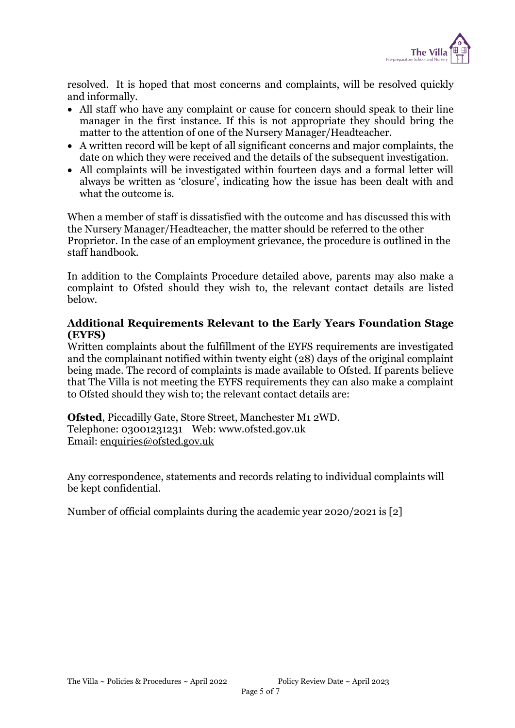

resolved. It is hoped that most concerns and complaints, will be resolved quickly and informally.

- All staff who have any complaint or cause for concern should speak to their line manager in the first instance. If this is not appropriate they should bring the matter to the attention of one of the Nursery Manager/Headteacher.
- A written record will be kept of all significant concerns and major complaints, the date on which they were received and the details of the subsequent investigation.
- All complaints will be investigated within fourteen days and a formal letter will always be written as 'closure', indicating how the issue has been dealt with and what the outcome is.

When a member of staff is dissatisfied with the outcome and has discussed this with the Nursery Manager/Headteacher, the matter should be referred to the other Proprietor. In the case of an employment grievance, the procedure is outlined in the staff handbook.

In addition to the Complaints Procedure detailed above, parents may also make a complaint to Ofsted should they wish to, the relevant contact details are listed below.

## Additional Requirements Relevant to the Early Years Foundation Stage (EYFS)

Written complaints about the fulfillment of the EYFS requirements are investigated and the complainant notified within twenty eight (28) days of the original complaint being made. The record of complaints is made available to Ofsted. If parents believe that The Villa is not meeting the EYFS requirements they can also make a complaint to Ofsted should they wish to; the relevant contact details are:

Ofsted, Piccadilly Gate, Store Street, Manchester M1 2WD. Telephone: 03001231231 Web: www.ofsted.gov.uk Email: enquiries@ofsted.gov.uk

Any correspondence, statements and records relating to individual complaints will be kept confidential.

Number of official complaints during the academic year 2020/2021 is [2]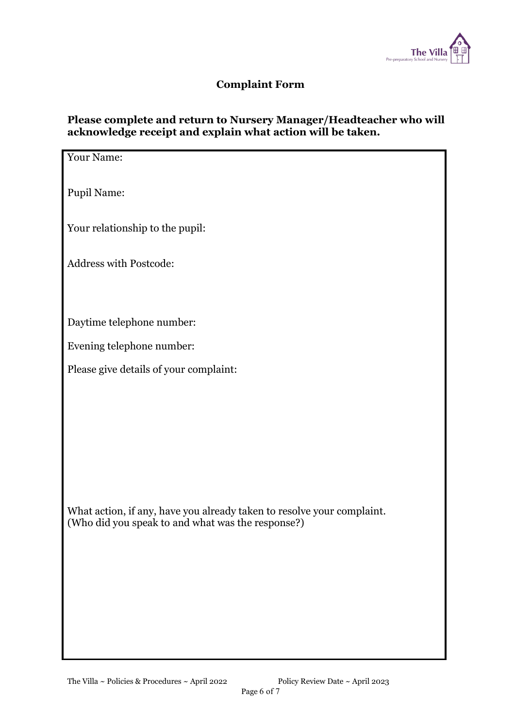

# Complaint Form

# Please complete and return to Nursery Manager/Headteacher who will acknowledge receipt and explain what action will be taken.

| Your Name:                                                             |
|------------------------------------------------------------------------|
|                                                                        |
| <b>Pupil Name:</b>                                                     |
|                                                                        |
| Your relationship to the pupil:                                        |
| Address with Postcode:                                                 |
|                                                                        |
|                                                                        |
| Daytime telephone number:                                              |
| Evening telephone number:                                              |
| Please give details of your complaint:                                 |
|                                                                        |
|                                                                        |
|                                                                        |
|                                                                        |
|                                                                        |
|                                                                        |
| What action, if any, have you already taken to resolve your complaint. |
| (Who did you speak to and what was the response?)                      |
|                                                                        |
|                                                                        |
|                                                                        |
|                                                                        |
|                                                                        |